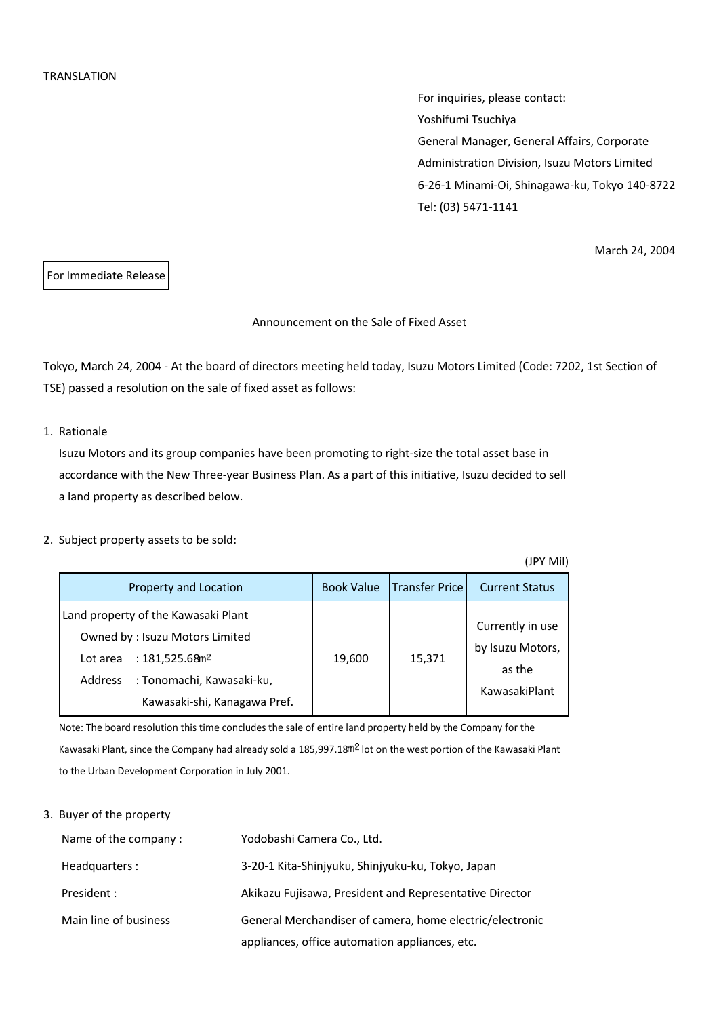For inquiries, please contact: Yoshifumi Tsuchiya General Manager, General Affairs, Corporate Administration Division, Isuzu Motors Limited 6-26-1 Minami-Oi, Shinagawa-ku, Tokyo 140-8722 Tel: (03) 5471-1141

March 24, 2004

For Immediate Release

### Announcement on the Sale of Fixed Asset

Tokyo, March 24, 2004 - At the board of directors meeting held today, Isuzu Motors Limited (Code: 7202, 1st Section of TSE) passed a resolution on the sale of fixed asset as follows:

## 1. Rationale

Isuzu Motors and its group companies have been promoting to right-size the total asset base in accordance with the New Three-year Business Plan. As a part of this initiative, Isuzu decided to sell a land property as described below.

#### 2. Subject property assets to be sold:

|                                                                                                                                                                                            |                   |                       | (JPY Mil)                                                       |
|--------------------------------------------------------------------------------------------------------------------------------------------------------------------------------------------|-------------------|-----------------------|-----------------------------------------------------------------|
| Property and Location                                                                                                                                                                      | <b>Book Value</b> | <b>Transfer Price</b> | <b>Current Status</b>                                           |
| Land property of the Kawasaki Plant<br>Owned by: Isuzu Motors Limited<br>: $181,525.68$ m <sup>2</sup><br>Lot area<br>: Tonomachi, Kawasaki-ku,<br>Address<br>Kawasaki-shi, Kanagawa Pref. | 19,600            | 15,371                | Currently in use<br>by Isuzu Motors,<br>as the<br>KawasakiPlant |

Note: The board resolution this time concludes the sale of entire land property held by the Company for the Kawasaki Plant, since the Company had already sold a 185,997.18<sup>m2</sup> lot on the west portion of the Kawasaki Plant to the Urban Development Corporation in July 2001.

### 3. Buyer of the property

| Name of the company:  | Yodobashi Camera Co., Ltd.                               |
|-----------------------|----------------------------------------------------------|
| Headquarters:         | 3-20-1 Kita-Shinjyuku, Shinjyuku-ku, Tokyo, Japan        |
| President :           | Akikazu Fujisawa, President and Representative Director  |
| Main line of business | General Merchandiser of camera, home electric/electronic |
|                       | appliances, office automation appliances, etc.           |